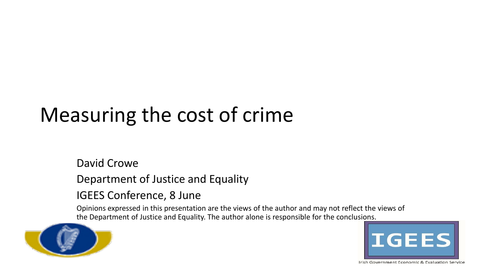## Measuring the cost of crime

#### David Crowe

Department of Justice and Equality

#### IGEES Conference, 8 June

Opinions expressed in this presentation are the views of the author and may not reflect the views of the Department of Justice and Equality. The author alone is responsible for the conclu[sions.](http://igees.gov.ie/) 



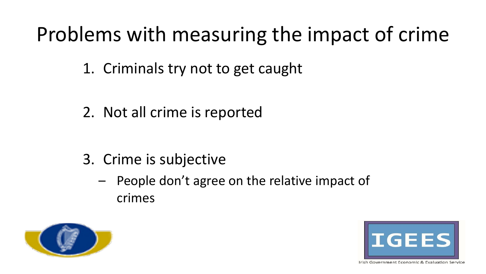### Problems with measuring the impact of crime

- 1. Criminals try not to get caught
- 2. Not all crime is reported

- 3. Crime is subjective
	- People don't agree on the relative impact of crimes



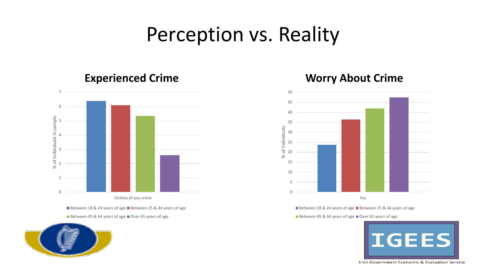#### Perception vs. Reality



Between 18 & 24 years of age Between 25 & 44 years of age Between 45 & 64 years of age Over 65 years of age



#### **Experienced Crime Worry About Crime**



Between 18 & 24 years of age Between 25 & 44 years of age

Between 45 & 64 years of age Over 65 years of age

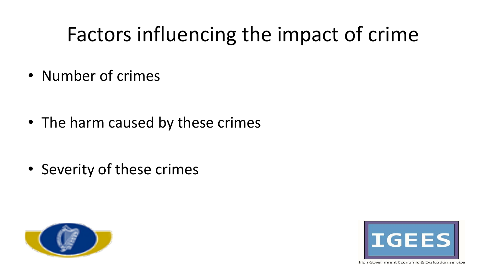# Factors influencing the impact of crime

• Number of crimes

• The harm caused by these crimes

• Severity of these crimes



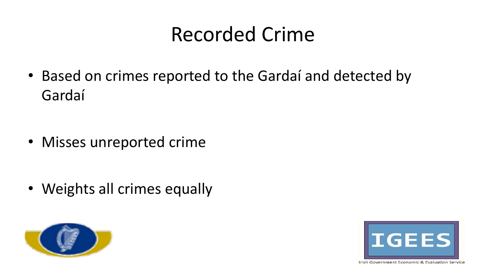#### Recorded Crime

• Based on crimes reported to the Gardaí and detected by Gardaí

• Misses unreported crime

• Weights all crimes equally



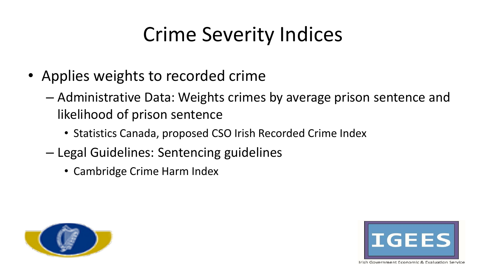# Crime Severity Indices

- Applies weights to recorded crime
	- Administrative Data: Weights crimes by average prison sentence and likelihood of prison sentence
		- Statistics Canada, proposed CSO Irish Recorded Crime Index
	- Legal Guidelines: Sentencing guidelines
		- Cambridge Crime Harm Index



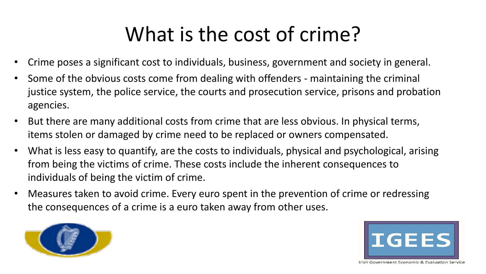### What is the cost of crime?

- Crime poses a significant cost to individuals, business, government and society in general.
- Some of the obvious costs come from dealing with offenders maintaining the criminal justice system, the police service, the courts and prosecution service, prisons and probation agencies.
- But there are many additional costs from crime that are less obvious. In physical terms, items stolen or damaged by crime need to be replaced or owners compensated.
- What is less easy to quantify, are the costs to individuals, physical and psychological, arising from being the victims of crime. These costs include the inherent consequences to individuals of being the victim of crime.
- Measures taken to avoid crime. Every euro spent in the prevention of crime or redressing the consequences of a crime is a euro taken away from other uses.



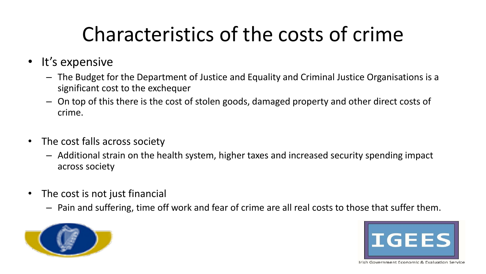# Characteristics of the costs of crime

- It's expensive
	- The Budget for the Department of Justice and Equality and Criminal Justice Organisations is a significant cost to the exchequer
	- On top of this there is the cost of stolen goods, damaged property and other direct costs of crime.
- The cost falls across society
	- Additional strain on the health system, higher taxes and increased security spending impact across society
- The cost is not just financial
	- Pain and suffering, time off work and fear of crime are all real costs to those that suffer them.



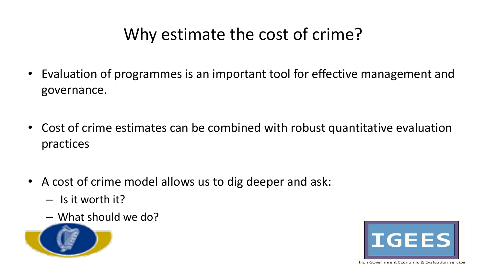#### Why estimate the cost of crime?

- Evaluation of programmes is an important tool for effective management and governance.
- Cost of crime estimates can be combined with robust quantitative evaluation practices
- A cost of crime model allows us to dig deeper and ask:
	- Is it worth it?
	- What should we do?



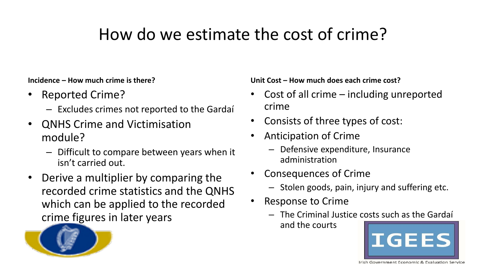#### How do we estimate the cost of crime?

**Incidence – How much crime is there?**

- Reported Crime?
	- Excludes crimes not reported to the Gardaí
- QNHS Crime and Victimisation module?
	- Difficult to compare between years when it isn't carried out.
- Derive a multiplier by comparing the recorded crime statistics and the QNHS which can be applied to the recorded crime figures in later years

**Unit Cost – How much does each crime cost?**

- Cost of all crime  $-$  including unreported crime
- Consists of three types of cost:
- Anticipation of Crime
	- Defensive expenditure, Insurance administration
- Consequences of Crime
	- Stolen goods, pain, injury and suffering etc.
- Response to Crime
	- The Criminal Justice [costs such as the Gardaí](http://igees.gov.ie/)  and the courts



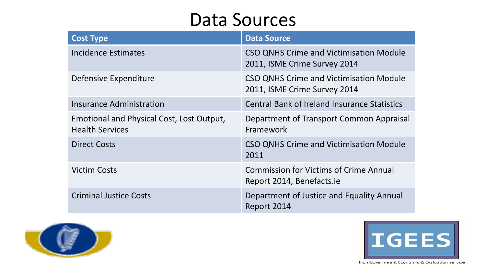#### Data Sources

| <b>Cost Type</b>                                                    | <b>Data Source</b>                                                             |
|---------------------------------------------------------------------|--------------------------------------------------------------------------------|
| Incidence Estimates                                                 | <b>CSO QNHS Crime and Victimisation Module</b><br>2011, ISME Crime Survey 2014 |
| Defensive Expenditure                                               | <b>CSO QNHS Crime and Victimisation Module</b><br>2011, ISME Crime Survey 2014 |
| Insurance Administration                                            | <b>Central Bank of Ireland Insurance Statistics</b>                            |
| Emotional and Physical Cost, Lost Output,<br><b>Health Services</b> | Department of Transport Common Appraisal<br>Framework                          |
| <b>Direct Costs</b>                                                 | <b>CSO QNHS Crime and Victimisation Module</b><br>2011                         |
| <b>Victim Costs</b>                                                 | <b>Commission for Victims of Crime Annual</b><br>Report 2014, Benefacts.ie     |
| <b>Criminal Justice Costs</b>                                       | Department of Justice and Equality Annual<br>Report 2014                       |



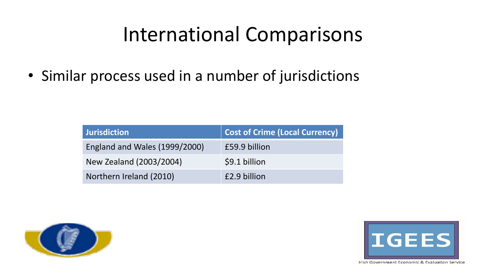### International Comparisons

• Similar process used in a number of jurisdictions

| <b>Jurisdiction</b>           | <b>Cost of Crime (Local Currency)</b> |  |  |  |  |  |  |
|-------------------------------|---------------------------------------|--|--|--|--|--|--|
| England and Wales (1999/2000) | £59.9 billion                         |  |  |  |  |  |  |
| New Zealand (2003/2004)       | \$9.1 billion                         |  |  |  |  |  |  |
| Northern Ireland (2010)       | £2.9 billion                          |  |  |  |  |  |  |



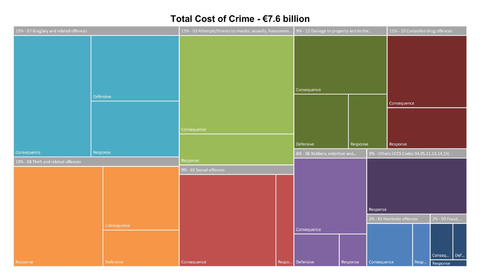#### Total Cost of Crime - €7.6 billion

| 19% - 07 Burglary and related offences |           | 13% - 03 Attempts/threats to murder, assaults, harassmen |                         | 9% - 12 Damage to property and to the |                                |          | 11% - 10 Controlled drug offences          |                           |  |                |     |
|----------------------------------------|-----------|----------------------------------------------------------|-------------------------|---------------------------------------|--------------------------------|----------|--------------------------------------------|---------------------------|--|----------------|-----|
|                                        |           |                                                          |                         |                                       |                                |          |                                            |                           |  |                |     |
|                                        |           |                                                          |                         |                                       | Consequence                    |          |                                            |                           |  |                |     |
|                                        | Defensive |                                                          |                         |                                       |                                |          |                                            |                           |  |                |     |
|                                        |           |                                                          |                         |                                       |                                |          |                                            | Consequence               |  |                |     |
|                                        |           |                                                          |                         |                                       |                                |          |                                            |                           |  |                |     |
|                                        |           |                                                          | Consequence             |                                       |                                |          |                                            |                           |  |                |     |
|                                        |           |                                                          |                         |                                       | Defensive                      | Response |                                            | Response                  |  |                |     |
| Consequence                            | Response  |                                                          |                         |                                       | 6% - 06 Robbery, extortion and |          | 9% - Others (ICCS Codes 04,05,11,13,14,15) |                           |  |                |     |
| 19% - 08 Theft and related offences    |           |                                                          | Response                |                                       |                                |          |                                            |                           |  |                |     |
|                                        |           |                                                          | 9% - 02 Sexual offences |                                       |                                |          |                                            |                           |  |                |     |
|                                        |           |                                                          |                         |                                       |                                |          |                                            |                           |  |                |     |
|                                        |           |                                                          |                         |                                       |                                |          |                                            |                           |  |                |     |
|                                        |           |                                                          |                         |                                       |                                |          |                                            |                           |  |                |     |
|                                        |           |                                                          |                         |                                       |                                | Response |                                            |                           |  |                |     |
|                                        |           |                                                          |                         |                                       |                                |          |                                            | 3% - 01 Homicide offences |  | 2% - 09 Fraud, |     |
|                                        |           | Consequence                                              |                         |                                       | Consequence                    |          |                                            |                           |  |                |     |
|                                        |           |                                                          |                         |                                       |                                |          |                                            |                           |  |                |     |
|                                        |           |                                                          |                         |                                       |                                |          |                                            |                           |  | Conseq         | Def |
|                                        |           |                                                          |                         |                                       |                                |          |                                            |                           |  |                |     |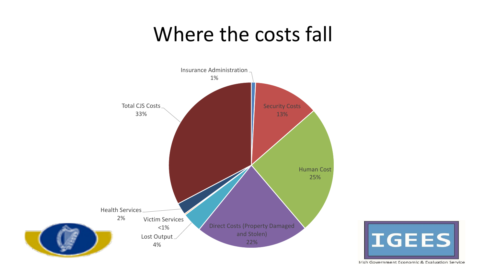#### Where the costs fall



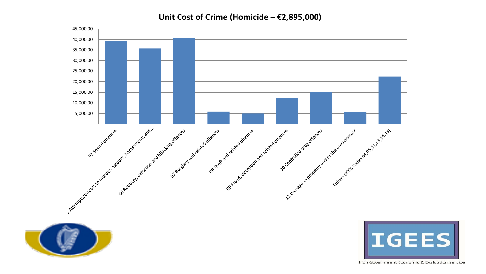**Unit Cost of Crime (Homicide – €2,895,000)**